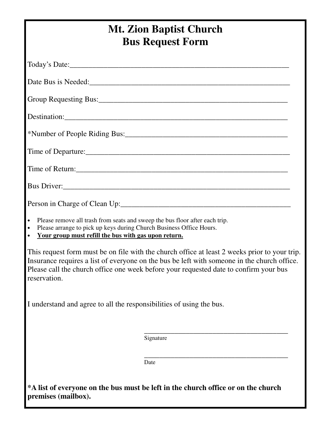## **Mt. Zion Baptist Church Bus Request Form** Today's Date:\_\_\_\_\_\_\_\_\_\_\_\_\_\_\_\_\_\_\_\_\_\_\_\_\_\_\_\_\_\_\_\_\_\_\_\_\_\_\_\_\_\_\_\_\_\_\_\_\_\_\_\_\_\_\_\_\_\_ Date Bus is Needed: Group Requesting Bus:\_\_\_\_\_\_\_\_\_\_\_\_\_\_\_\_\_\_\_\_\_\_\_\_\_\_\_\_\_\_\_\_\_\_\_\_\_\_\_\_\_\_\_\_\_\_\_\_\_\_ Destination:\_\_\_\_\_\_\_\_\_\_\_\_\_\_\_\_\_\_\_\_\_\_\_\_\_\_\_\_\_\_\_\_\_\_\_\_\_\_\_\_\_\_\_\_\_\_\_\_\_\_\_\_\_\_\_\_\_\_\_ \*Number of People Riding Bus:\_\_\_\_\_\_\_\_\_\_\_\_\_\_\_\_\_\_\_\_\_\_\_\_\_\_\_\_\_\_\_\_\_\_\_\_\_\_\_\_\_\_\_ Time of Departure: Time of Return: Bus Driver: Person in Charge of Clean Up: • Please remove all trash from seats and sweep the bus floor after each trip. • Please arrange to pick up keys during Church Business Office Hours. • **Your group must refill the bus with gas upon return.**  This request form must be on file with the church office at least 2 weeks prior to your trip. Insurance requires a list of everyone on the bus be left with someone in the church office. Please call the church office one week before your requested date to confirm your bus reservation. I understand and agree to all the responsibilities of using the bus.  $\frac{1}{\sqrt{2\pi}}$  ,  $\frac{1}{\sqrt{2\pi}}$  ,  $\frac{1}{\sqrt{2\pi}}$  ,  $\frac{1}{\sqrt{2\pi}}$  ,  $\frac{1}{\sqrt{2\pi}}$  ,  $\frac{1}{\sqrt{2\pi}}$  ,  $\frac{1}{\sqrt{2\pi}}$  ,  $\frac{1}{\sqrt{2\pi}}$  ,  $\frac{1}{\sqrt{2\pi}}$  ,  $\frac{1}{\sqrt{2\pi}}$  ,  $\frac{1}{\sqrt{2\pi}}$  ,  $\frac{1}{\sqrt{2\pi}}$  ,  $\frac{1}{\sqrt{2\pi}}$  , Signature  $\frac{1}{\sqrt{2\pi}}$  ,  $\frac{1}{\sqrt{2\pi}}$  ,  $\frac{1}{\sqrt{2\pi}}$  ,  $\frac{1}{\sqrt{2\pi}}$  ,  $\frac{1}{\sqrt{2\pi}}$  ,  $\frac{1}{\sqrt{2\pi}}$  ,  $\frac{1}{\sqrt{2\pi}}$  ,  $\frac{1}{\sqrt{2\pi}}$  ,  $\frac{1}{\sqrt{2\pi}}$  ,  $\frac{1}{\sqrt{2\pi}}$  ,  $\frac{1}{\sqrt{2\pi}}$  ,  $\frac{1}{\sqrt{2\pi}}$  ,  $\frac{1}{\sqrt{2\pi}}$  , **Date \*A list of everyone on the bus must be left in the church office or on the church premises (mailbox).**